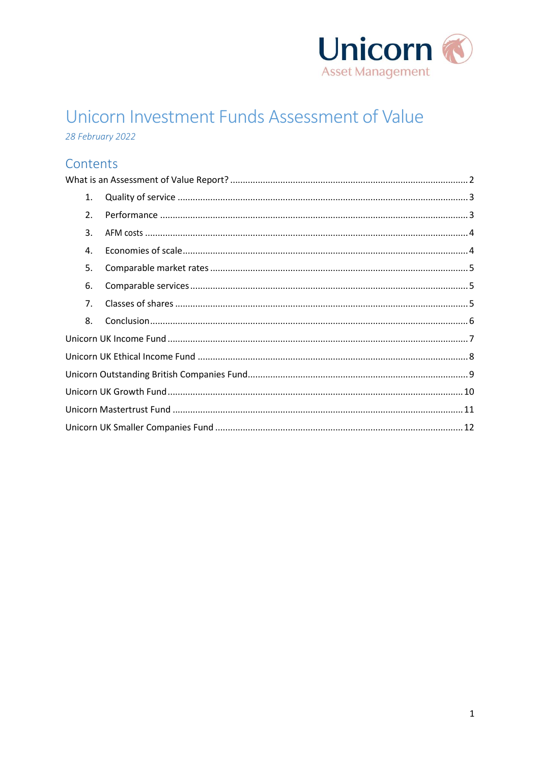

# Unicorn Investment Funds Assessment of Value

28 February 2022

# Contents

<span id="page-0-0"></span>

| 1.               |  |
|------------------|--|
| $\overline{2}$ . |  |
| 3.               |  |
| 4.               |  |
| 5.               |  |
| 6.               |  |
| 7 <sub>1</sub>   |  |
| 8.               |  |
|                  |  |
|                  |  |
|                  |  |
|                  |  |
|                  |  |
|                  |  |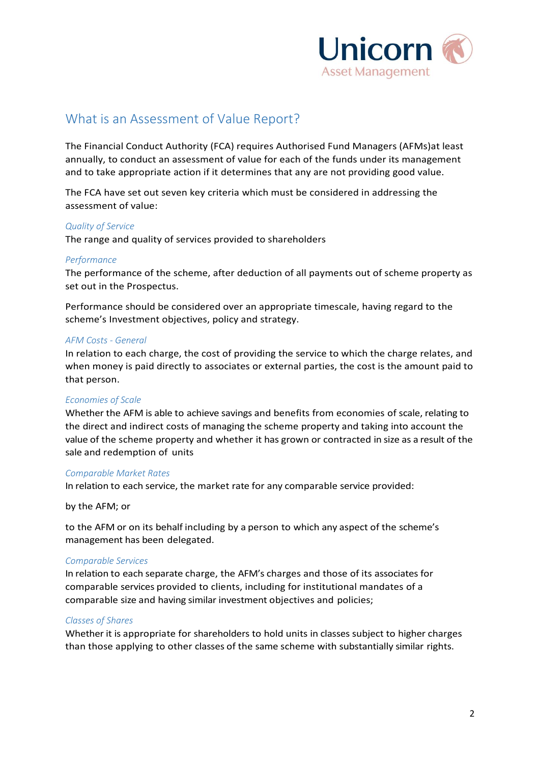

# What is an Assessment of Value Report?

The Financial Conduct Authority (FCA) requires Authorised Fund Managers (AFMs)at least annually, to conduct an assessment of value for each of the funds under its management and to take appropriate action if it determines that any are not providing good value.

The FCA have set out seven key criteria which must be considered in addressing the assessment of value:

#### *Quality of Service*

The range and quality of services provided to shareholders

#### *Performance*

The performance of the scheme, after deduction of all payments out of scheme property as set out in the Prospectus.

Performance should be considered over an appropriate timescale, having regard to the scheme's Investment objectives, policy and strategy.

#### *AFM Costs - General*

In relation to each charge, the cost of providing the service to which the charge relates, and when money is paid directly to [associates](https://www.handbook.fca.org.uk/handbook/glossary/G76.html) or external parties, the cost is the amount paid to that [person.](https://www.handbook.fca.org.uk/handbook/glossary/G869.html)

# *Economies of Scale*

Whether the AFM is able to achieve savings and benefits from economies of scale, relating to the direct and indirect costs of managing the scheme property and taking into account the value of the scheme property and whether it has grown or contracted in size as a result of the sale and redemption of units

#### *Comparable Market Rates*

In relation to each service, the market rate for any comparable service provided:

#### by the AFM; or

to the AFM or on its behalf including by a person to which any aspect of the scheme's management has been delegated.

#### *Comparable Services*

In relation to each separate charge, the AFM's charges and those of its associates for comparable services provided to clients, including for institutional mandates of a comparable size and having similar investment objectives and policies;

#### *Classes of Shares*

Whether it is appropriate for shareholders to hold units in classes subject to higher charges than those applying to other classes of the same scheme with substantially similar rights.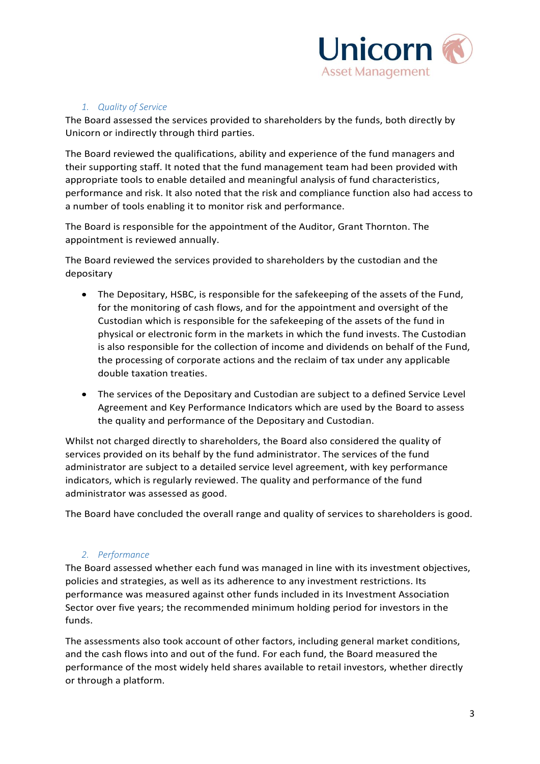

# *1. Quality of Service*

<span id="page-2-0"></span>The Board assessed the services provided to shareholders by the funds, both directly by Unicorn or indirectly through third parties.

The Board reviewed the qualifications, ability and experience of the fund managers and their supporting staff. It noted that the fund management team had been provided with appropriate tools to enable detailed and meaningful analysis of fund characteristics, performance and risk. It also noted that the risk and compliance function also had access to a number of tools enabling it to monitor risk and performance.

The Board is responsible for the appointment of the Auditor, Grant Thornton. The appointment is reviewed annually.

The Board reviewed the services provided to shareholders by the custodian and the depositary

- The Depositary, HSBC, is responsible for the safekeeping of the assets of the Fund, for the monitoring of cash flows, and for the appointment and oversight of the Custodian which is responsible for the safekeeping of the assets of the fund in physical or electronic form in the markets in which the fund invests. The Custodian is also responsible for the collection of income and dividends on behalf of the Fund, the processing of corporate actions and the reclaim of tax under any applicable double taxation treaties.
- The services of the Depositary and Custodian are subject to a defined Service Level Agreement and Key Performance Indicators which are used by the Board to assess the quality and performance of the Depositary and Custodian.

Whilst not charged directly to shareholders, the Board also considered the quality of services provided on its behalf by the fund administrator. The services of the fund administrator are subject to a detailed service level agreement, with key performance indicators, which is regularly reviewed. The quality and performance of the fund administrator was assessed as good.

The Board have concluded the overall range and quality of services to shareholders is good.

# *2. Performance*

<span id="page-2-1"></span>The Board assessed whether each fund was managed in line with its investment objectives, policies and strategies, as well as its adherence to any investment restrictions. Its performance was measured against other funds included in its Investment Association Sector over five years; the recommended minimum holding period for investors in the funds.

The assessments also took account of other factors, including general market conditions, and the cash flows into and out of the fund. For each fund, the Board measured the performance of the most widely held shares available to retail investors, whether directly or through a platform.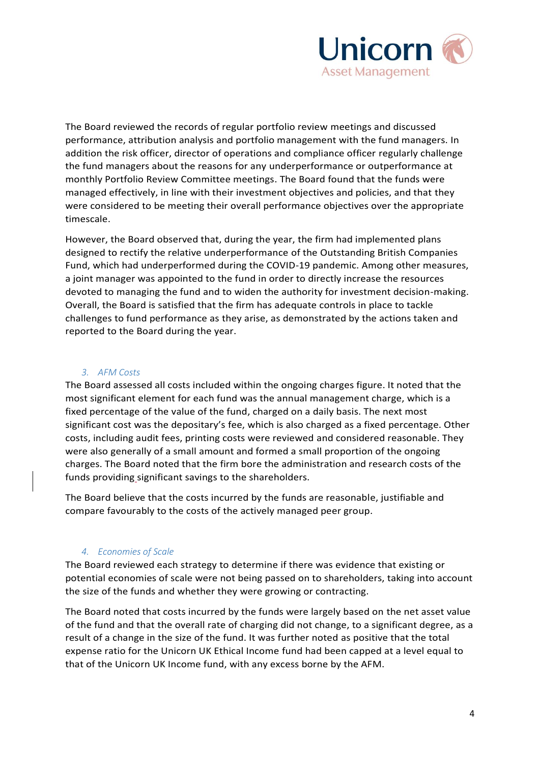

The Board reviewed the records of regular portfolio review meetings and discussed performance, attribution analysis and portfolio management with the fund managers. In addition the risk officer, director of operations and compliance officer regularly challenge the fund managers about the reasons for any underperformance or outperformance at monthly Portfolio Review Committee meetings. The Board found that the funds were managed effectively, in line with their investment objectives and policies, and that they were considered to be meeting their overall performance objectives over the appropriate timescale.

However, the Board observed that, during the year, the firm had implemented plans designed to rectify the relative underperformance of the Outstanding British Companies Fund, which had underperformed during the COVID-19 pandemic. Among other measures, a joint manager was appointed to the fund in order to directly increase the resources devoted to managing the fund and to widen the authority for investment decision-making. Overall, the Board is satisfied that the firm has adequate controls in place to tackle challenges to fund performance as they arise, as demonstrated by the actions taken and reported to the Board during the year.

#### *3. AFM Costs*

<span id="page-3-0"></span>The Board assessed all costs included within the ongoing charges figure. It noted that the most significant element for each fund was the annual management charge, which is a fixed percentage of the value of the fund, charged on a daily basis. The next most significant cost was the depositary's fee, which is also charged as a fixed percentage. Other costs, including audit fees, printing costs were reviewed and considered reasonable. They were also generally of a small amount and formed a small proportion of the ongoing charges. The Board noted that the firm bore the administration and research costs of the funds providing significant savings to the shareholders.

The Board believe that the costs incurred by the funds are reasonable, justifiable and compare favourably to the costs of the actively managed peer group.

# *4. Economies of Scale*

<span id="page-3-1"></span>The Board reviewed each strategy to determine if there was evidence that existing or potential economies of scale were not being passed on to shareholders, taking into account the size of the funds and whether they were growing or contracting.

The Board noted that costs incurred by the funds were largely based on the net asset value of the fund and that the overall rate of charging did not change, to a significant degree, as a result of a change in the size of the fund. It was further noted as positive that the total expense ratio for the Unicorn UK Ethical Income fund had been capped at a level equal to that of the Unicorn UK Income fund, with any excess borne by the AFM.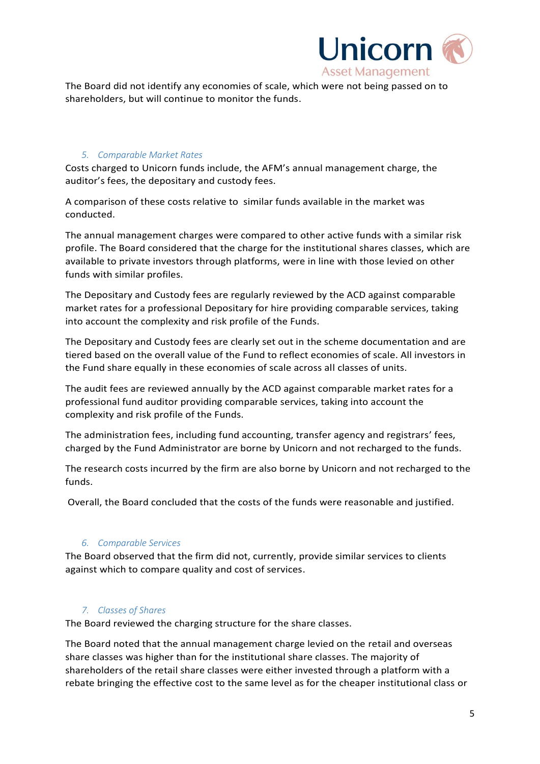

The Board did not identify any economies of scale, which were not being passed on to shareholders, but will continue to monitor the funds.

# <span id="page-4-0"></span>*5. Comparable Market Rates*

Costs charged to Unicorn funds include, the AFM's annual management charge, the auditor's fees, the depositary and custody fees.

A comparison of these costs relative to similar funds available in the market was conducted.

The annual management charges were compared to other active funds with a similar risk profile. The Board considered that the charge for the institutional shares classes, which are available to private investors through platforms, were in line with those levied on other funds with similar profiles.

The Depositary and Custody fees are regularly reviewed by the ACD against comparable market rates for a professional Depositary for hire providing comparable services, taking into account the complexity and risk profile of the Funds.

The Depositary and Custody fees are clearly set out in the scheme documentation and are tiered based on the overall value of the Fund to reflect economies of scale. All investors in the Fund share equally in these economies of scale across all classes of units.

The audit fees are reviewed annually by the ACD against comparable market rates for a professional fund auditor providing comparable services, taking into account the complexity and risk profile of the Funds.

The administration fees, including fund accounting, transfer agency and registrars' fees, charged by the Fund Administrator are borne by Unicorn and not recharged to the funds.

The research costs incurred by the firm are also borne by Unicorn and not recharged to the funds.

Overall, the Board concluded that the costs of the funds were reasonable and justified.

# *6. Comparable Services*

<span id="page-4-1"></span>The Board observed that the firm did not, currently, provide similar services to clients against which to compare quality and cost of services.

# *7. Classes of Shares*

<span id="page-4-2"></span>The Board reviewed the charging structure for the share classes.

The Board noted that the annual management charge levied on the retail and overseas share classes was higher than for the institutional share classes. The majority of shareholders of the retail share classes were either invested through a platform with a rebate bringing the effective cost to the same level as for the cheaper institutional class or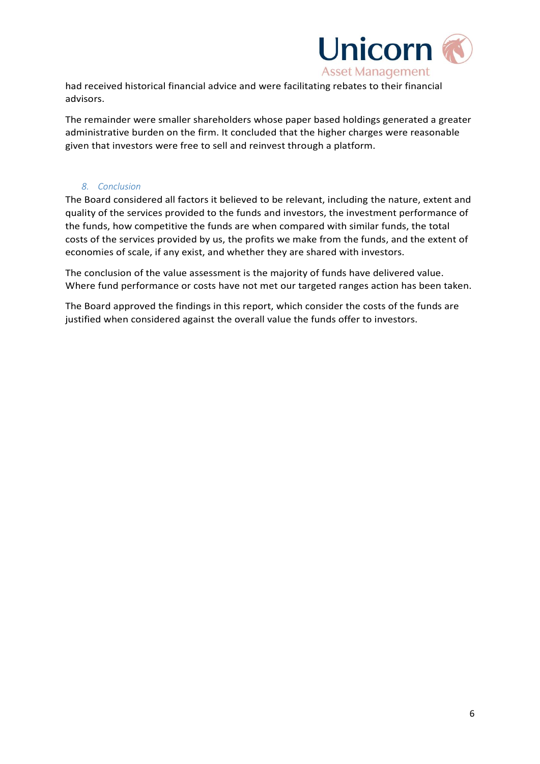

had received historical financial advice and were facilitating rebates to their financial advisors.

The remainder were smaller shareholders whose paper based holdings generated a greater administrative burden on the firm. It concluded that the higher charges were reasonable given that investors were free to sell and reinvest through a platform.

#### *8. Conclusion*

<span id="page-5-0"></span>The Board considered all factors it believed to be relevant, including the nature, extent and quality of the services provided to the funds and investors, the investment performance of the funds, how competitive the funds are when compared with similar funds, the total costs of the services provided by us, the profits we make from the funds, and the extent of economies of scale, if any exist, and whether they are shared with investors.

The conclusion of the value assessment is the majority of funds have delivered value. Where fund performance or costs have not met our targeted ranges action has been taken.

The Board approved the findings in this report, which consider the costs of the funds are justified when considered against the overall value the funds offer to investors.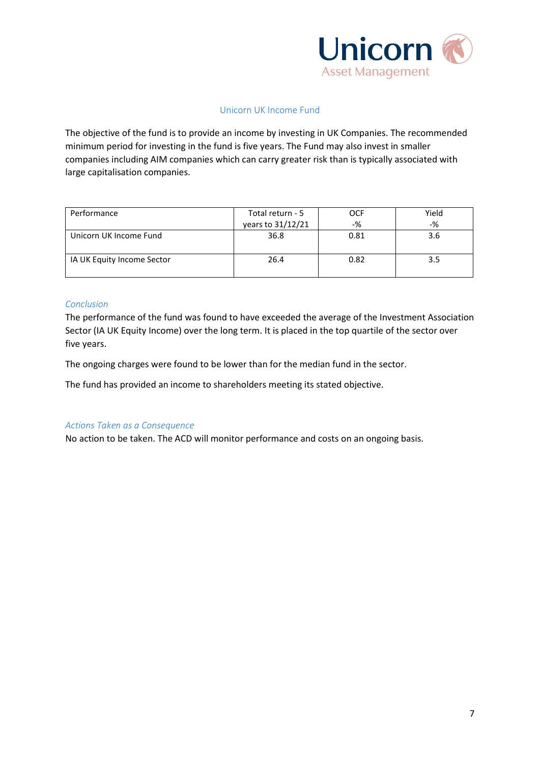

## Unicorn UK Income Fund

<span id="page-6-0"></span>The objective of the fund is to provide an income by investing in UK Companies. The recommended minimum period for investing in the fund is five years. The Fund may also invest in smaller companies including AIM companies which can carry greater risk than is typically associated with large capitalisation companies.

| Performance                | Total return - 5  | OCF   | Yield |
|----------------------------|-------------------|-------|-------|
|                            | years to 31/12/21 | $-$ % | $-$ % |
| Unicorn UK Income Fund     | 36.8              | 0.81  | 3.6   |
| IA UK Equity Income Sector | 26.4              | 0.82  | 3.5   |

#### *Conclusion*

The performance of the fund was found to have exceeded the average of the Investment Association Sector (IA UK Equity Income) over the long term. It is placed in the top quartile of the sector over five years.

The ongoing charges were found to be lower than for the median fund in the sector.

The fund has provided an income to shareholders meeting its stated objective.

#### *Actions Taken as a Consequence*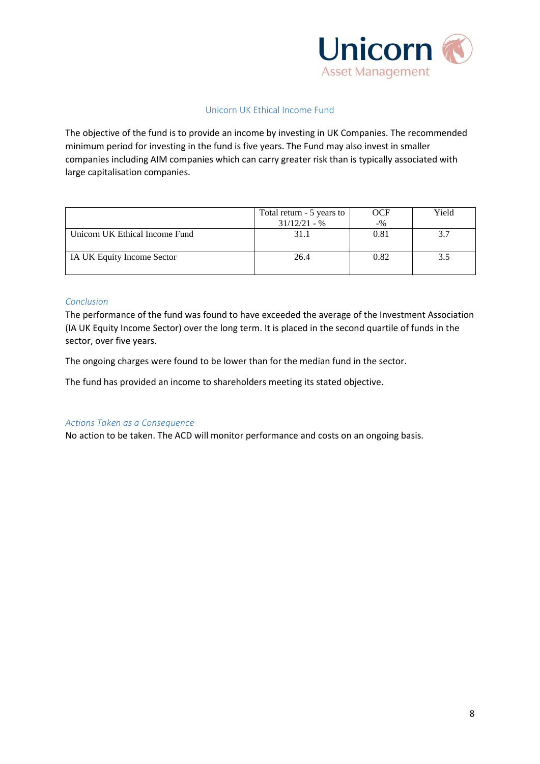

## Unicorn UK Ethical Income Fund

<span id="page-7-0"></span>The objective of the fund is to provide an income by investing in UK Companies. The recommended minimum period for investing in the fund is five years. The Fund may also invest in smaller companies including AIM companies which can carry greater risk than is typically associated with large capitalisation companies.

|                                | Total return - 5 years to<br>OCF |        | Yield |  |
|--------------------------------|----------------------------------|--------|-------|--|
|                                | $31/12/21 - %$                   | $-9/0$ |       |  |
| Unicorn UK Ethical Income Fund | 31.1                             | 0.81   | 37    |  |
| IA UK Equity Income Sector     | 26.4                             | 0.82   | 3.5   |  |

#### *Conclusion*

The performance of the fund was found to have exceeded the average of the Investment Association (IA UK Equity Income Sector) over the long term. It is placed in the second quartile of funds in the sector, over five years.

The ongoing charges were found to be lower than for the median fund in the sector.

The fund has provided an income to shareholders meeting its stated objective.

#### *Actions Taken as a Consequence*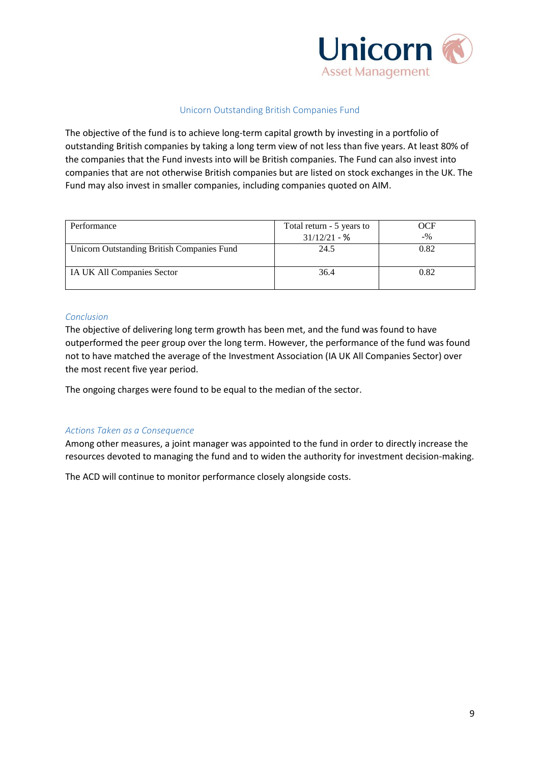

#### Unicorn Outstanding British Companies Fund

<span id="page-8-0"></span>The objective of the fund is to achieve long-term capital growth by investing in a portfolio of outstanding British companies by taking a long term view of not less than five years. At least 80% of the companies that the Fund invests into will be British companies. The Fund can also invest into companies that are not otherwise British companies but are listed on stock exchanges in the UK. The Fund may also invest in smaller companies, including companies quoted on AIM.

| Performance                                | Total return - 5 years to | OCF    |
|--------------------------------------------|---------------------------|--------|
|                                            | $31/12/21 - %$            | $-9/0$ |
| Unicorn Outstanding British Companies Fund | 24.5                      | 0.82   |
| IA UK All Companies Sector                 | 36.4                      | 0.82   |

#### *Conclusion*

The objective of delivering long term growth has been met, and the fund was found to have outperformed the peer group over the long term. However, the performance of the fund was found not to have matched the average of the Investment Association (IA UK All Companies Sector) over the most recent five year period.

The ongoing charges were found to be equal to the median of the sector.

# *Actions Taken as a Consequence*

Among other measures, a joint manager was appointed to the fund in order to directly increase the resources devoted to managing the fund and to widen the authority for investment decision-making.

The ACD will continue to monitor performance closely alongside costs.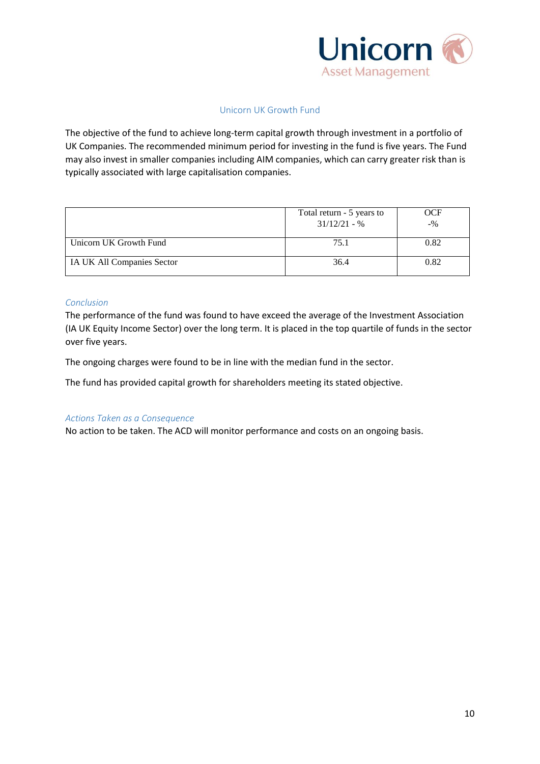

# Unicorn UK Growth Fund

<span id="page-9-0"></span>The objective of the fund to achieve long-term capital growth through investment in a portfolio of UK Companies. The recommended minimum period for investing in the fund is five years. The Fund may also invest in smaller companies including AIM companies, which can carry greater risk than is typically associated with large capitalisation companies.

|                            | Total return - 5 years to<br>$31/12/21 - %$ | <b>OCF</b><br>$-9/0$ |
|----------------------------|---------------------------------------------|----------------------|
| Unicorn UK Growth Fund     | 75.1                                        | 0.82                 |
| IA UK All Companies Sector | 36.4                                        | 0.82                 |

#### *Conclusion*

The performance of the fund was found to have exceed the average of the Investment Association (IA UK Equity Income Sector) over the long term. It is placed in the top quartile of funds in the sector over five years.

The ongoing charges were found to be in line with the median fund in the sector.

The fund has provided capital growth for shareholders meeting its stated objective.

#### *Actions Taken as a Consequence*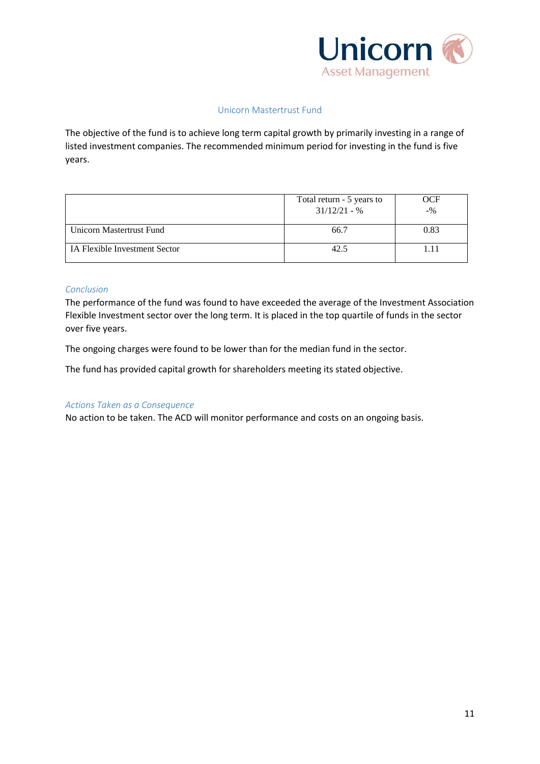

#### Unicorn Mastertrust Fund

<span id="page-10-0"></span>The objective of the fund is to achieve long term capital growth by primarily investing in a range of listed investment companies. The recommended minimum period for investing in the fund is five years.

|                               | Total return - 5 years to<br>$31/12/21 - %$ | <b>OCF</b><br>$-9/6$ |
|-------------------------------|---------------------------------------------|----------------------|
| Unicorn Mastertrust Fund      | 66.7                                        | 0.83                 |
| IA Flexible Investment Sector | 42.5                                        |                      |

#### *Conclusion*

The performance of the fund was found to have exceeded the average of the Investment Association Flexible Investment sector over the long term. It is placed in the top quartile of funds in the sector over five years.

The ongoing charges were found to be lower than for the median fund in the sector.

The fund has provided capital growth for shareholders meeting its stated objective.

#### *Actions Taken as a Consequence*